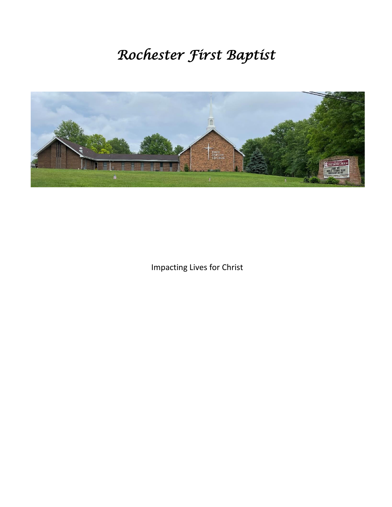# *Rochester First Baptist*



Impacting Lives for Christ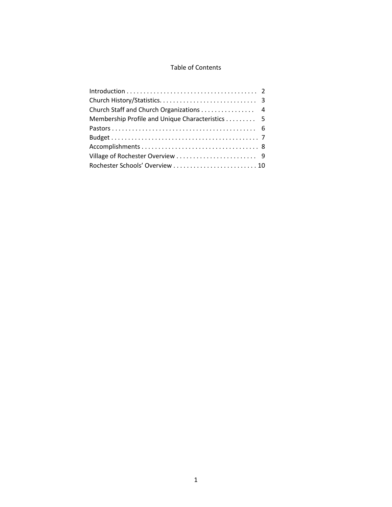### Table of Contents

| Church Staff and Church Organizations 4          |  |
|--------------------------------------------------|--|
| Membership Profile and Unique Characteristics  5 |  |
|                                                  |  |
|                                                  |  |
|                                                  |  |
|                                                  |  |
|                                                  |  |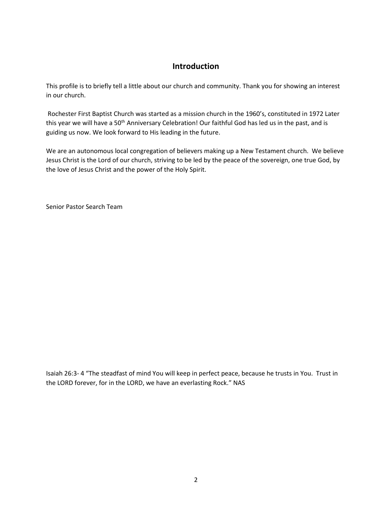## **Introduction**

This profile is to briefly tell a little about our church and community. Thank you for showing an interest in our church.

Rochester First Baptist Church was started as a mission church in the 1960's, constituted in 1972 Later this year we will have a 50<sup>th</sup> Anniversary Celebration! Our faithful God has led us in the past, and is guiding us now. We look forward to His leading in the future.

We are an autonomous local congregation of believers making up a New Testament church. We believe Jesus Christ is the Lord of our church, striving to be led by the peace of the sovereign, one true God, by the love of Jesus Christ and the power of the Holy Spirit.

Senior Pastor Search Team

Isaiah 26:3- 4 "The steadfast of mind You will keep in perfect peace, because he trusts in You. Trust in the LORD forever, for in the LORD, we have an everlasting Rock." NAS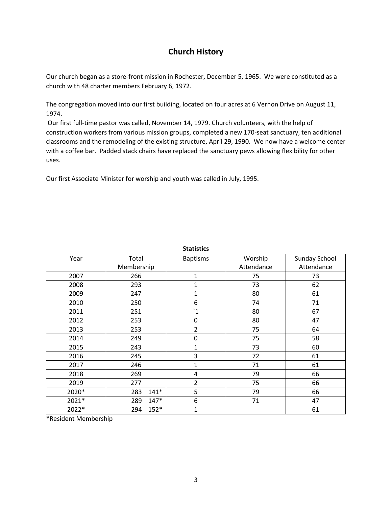# **Church History**

Our church began as a store-front mission in Rochester, December 5, 1965. We were constituted as a church with 48 charter members February 6, 1972.

The congregation moved into our first building, located on four acres at 6 Vernon Drive on August 11, 1974.

Our first full-time pastor was called, November 14, 1979. Church volunteers, with the help of construction workers from various mission groups, completed a new 170-seat sanctuary, ten additional classrooms and the remodeling of the existing structure, April 29, 1990. We now have a welcome center with a coffee bar. Padded stack chairs have replaced the sanctuary pews allowing flexibility for other uses.

Our first Associate Minister for worship and youth was called in July, 1995.

|       |               | วเตแวนเร        |            |                      |
|-------|---------------|-----------------|------------|----------------------|
| Year  | Total         | <b>Baptisms</b> | Worship    | <b>Sunday School</b> |
|       | Membership    |                 | Attendance | Attendance           |
| 2007  | 266           | 1               | 75         | 73                   |
| 2008  | 293           | 1               | 73         | 62                   |
| 2009  | 247           | 1               | 80         | 61                   |
| 2010  | 250           | 6               | 74         | 71                   |
| 2011  | 251           | $\dot{1}$       | 80         | 67                   |
| 2012  | 253           | $\pmb{0}$       | 80         | 47                   |
| 2013  | 253           | $\overline{2}$  | 75         | 64                   |
| 2014  | 249           | $\mathbf 0$     | 75         | 58                   |
| 2015  | 243           | $\mathbf 1$     | 73         | 60                   |
| 2016  | 245           | 3               | 72         | 61                   |
| 2017  | 246           | 1               | 71         | 61                   |
| 2018  | 269           | 4               | 79         | 66                   |
| 2019  | 277           | 2               | 75         | 66                   |
| 2020* | $141*$<br>283 | 5               | 79         | 66                   |
| 2021* | $147*$<br>289 | 6               | 71         | 47                   |
| 2022* | $152*$<br>294 | 1               |            | 61                   |

**Statistics**

\*Resident Membership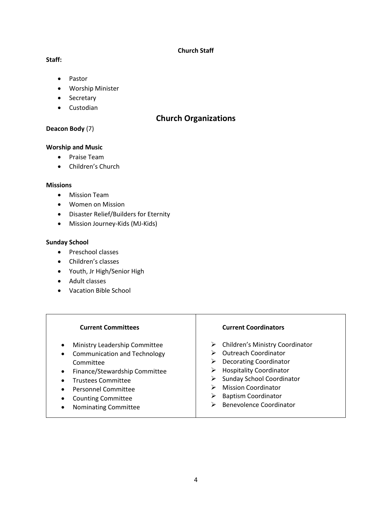#### **Church Staff**

#### **Staff:**

- Pastor
- Worship Minister
- Secretary
- Custodian

## **Church Organizations**

## **Deacon Body** (7)

#### **Worship and Music**

- Praise Team
- Children's Church

#### **Missions**

- Mission Team
- Women on Mission
- Disaster Relief/Builders for Eternity
- Mission Journey-Kids (MJ-Kids)

#### **Sunday School**

- Preschool classes
- Children's classes
- Youth, Jr High/Senior High
- Adult classes
- Vacation Bible School

#### **Current Committees**

- Ministry Leadership Committee
- Communication and Technology Committee
- Finance/Stewardship Committee
- Trustees Committee
- Personnel Committee
- Counting Committee
- Nominating Committee

#### **Current Coordinators**

- ➢ Children's Ministry Coordinator
- ➢ Outreach Coordinator
- ➢ Decorating Coordinator
- ➢ Hospitality Coordinator
- ➢ Sunday School Coordinator
- ➢ Mission Coordinator
- ➢ Baptism Coordinator
- ➢ Benevolence Coordinator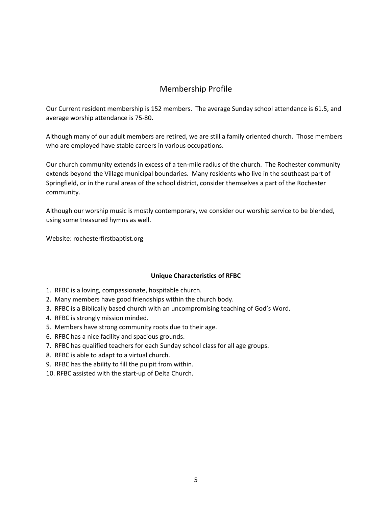# Membership Profile

Our Current resident membership is 152 members. The average Sunday school attendance is 61.5, and average worship attendance is 75-80.

Although many of our adult members are retired, we are still a family oriented church. Those members who are employed have stable careers in various occupations.

Our church community extends in excess of a ten-mile radius of the church. The Rochester community extends beyond the Village municipal boundaries. Many residents who live in the southeast part of Springfield, or in the rural areas of the school district, consider themselves a part of the Rochester community.

Although our worship music is mostly contemporary, we consider our worship service to be blended, using some treasured hymns as well.

Website: rochesterfirstbaptist.org

#### **Unique Characteristics of RFBC**

- 1. RFBC is a loving, compassionate, hospitable church.
- 2. Many members have good friendships within the church body.
- 3. RFBC is a Biblically based church with an uncompromising teaching of God's Word.
- 4. RFBC is strongly mission minded.
- 5. Members have strong community roots due to their age.
- 6. RFBC has a nice facility and spacious grounds.
- 7. RFBC has qualified teachers for each Sunday school class for all age groups.
- 8. RFBC is able to adapt to a virtual church.
- 9. RFBC has the ability to fill the pulpit from within.
- 10. RFBC assisted with the start-up of Delta Church.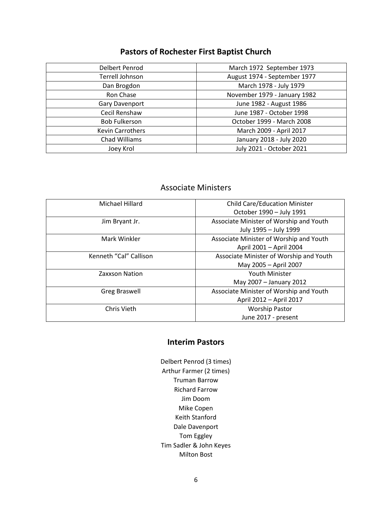# **Pastors of Rochester First Baptist Church**

| Delbert Penrod          | March 1972 September 1973    |
|-------------------------|------------------------------|
| Terrell Johnson         | August 1974 - September 1977 |
| Dan Brogdon             | March 1978 - July 1979       |
| Ron Chase               | November 1979 - January 1982 |
| <b>Gary Davenport</b>   | June 1982 - August 1986      |
| Cecil Renshaw           | June 1987 - October 1998     |
| <b>Bob Fulkerson</b>    | October 1999 - March 2008    |
| <b>Kevin Carrothers</b> | March 2009 - April 2017      |
| Chad Williams           | January 2018 - July 2020     |
| Joey Krol               | July 2021 - October 2021     |

# Associate Ministers

| Michael Hillard        | <b>Child Care/Education Minister</b>    |
|------------------------|-----------------------------------------|
|                        | October 1990 - July 1991                |
| Jim Bryant Jr.         | Associate Minister of Worship and Youth |
|                        | July 1995 - July 1999                   |
| Mark Winkler           | Associate Minister of Worship and Youth |
|                        | April 2001 - April 2004                 |
| Kenneth "Cal" Callison | Associate Minister of Worship and Youth |
|                        | May 2005 - April 2007                   |
| Zaxxson Nation         | Youth Minister                          |
|                        | May 2007 - January 2012                 |
| <b>Greg Braswell</b>   | Associate Minister of Worship and Youth |
|                        | April 2012 - April 2017                 |
| Chris Vieth            | <b>Worship Pastor</b>                   |
|                        | June 2017 - present                     |

## **Interim Pastors**

Delbert Penrod (3 times) Arthur Farmer (2 times) Truman Barrow Richard Farrow Jim Doom Mike Copen Keith Stanford Dale Davenport Tom Eggley Tim Sadler & John Keyes Milton Bost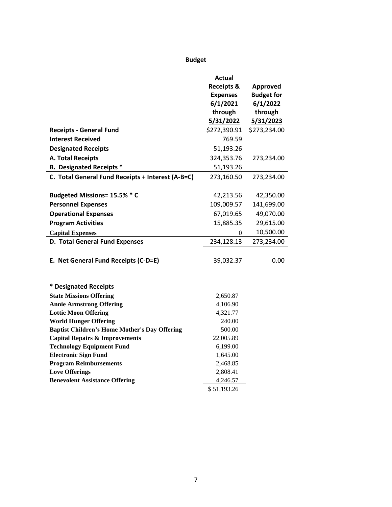# **Budget**

|                                                      | Actual<br><b>Receipts &amp;</b><br><b>Expenses</b><br>6/1/2021<br>through<br>5/31/2022 | Approved<br><b>Budget for</b><br>6/1/2022<br>through<br>5/31/2023 |
|------------------------------------------------------|----------------------------------------------------------------------------------------|-------------------------------------------------------------------|
| <b>Receipts - General Fund</b>                       | \$272,390.91                                                                           | \$273,234.00                                                      |
| <b>Interest Received</b>                             | 769.59                                                                                 |                                                                   |
| <b>Designated Receipts</b>                           | 51,193.26                                                                              |                                                                   |
| <b>A. Total Receipts</b>                             | 324,353.76                                                                             | 273,234.00                                                        |
| <b>B. Designated Receipts *</b>                      | 51,193.26                                                                              |                                                                   |
| C. Total General Fund Receipts + Interest (A-B=C)    | 273,160.50                                                                             | 273,234.00                                                        |
|                                                      |                                                                                        |                                                                   |
| Budgeted Missions= 15.5% * C                         | 42,213.56                                                                              | 42,350.00                                                         |
| <b>Personnel Expenses</b>                            | 109,009.57                                                                             | 141,699.00                                                        |
| <b>Operational Expenses</b>                          | 67,019.65                                                                              | 49,070.00                                                         |
| <b>Program Activities</b>                            | 15,885.35                                                                              | 29,615.00                                                         |
| <b>Capital Expenses</b>                              | 0                                                                                      | 10,500.00                                                         |
| D. Total General Fund Expenses                       | 234,128.13                                                                             | 273,234.00                                                        |
| E. Net General Fund Receipts (C-D=E)                 | 39,032.37                                                                              | 0.00                                                              |
| * Designated Receipts                                |                                                                                        |                                                                   |
| <b>State Missions Offering</b>                       | 2,650.87                                                                               |                                                                   |
| <b>Annie Armstrong Offering</b>                      | 4,106.90                                                                               |                                                                   |
| <b>Lottie Moon Offering</b>                          | 4,321.77                                                                               |                                                                   |
| <b>World Hunger Offering</b>                         | 240.00                                                                                 |                                                                   |
| <b>Baptist Children's Home Mother's Day Offering</b> | 500.00                                                                                 |                                                                   |
| <b>Capital Repairs &amp; Improvements</b>            | 22,005.89                                                                              |                                                                   |
| <b>Technology Equipment Fund</b>                     | 6,199.00                                                                               |                                                                   |
| <b>Electronic Sign Fund</b>                          | 1,645.00                                                                               |                                                                   |
| <b>Program Reimbursements</b>                        | 2,468.85                                                                               |                                                                   |
| <b>Love Offerings</b>                                | 2,808.41                                                                               |                                                                   |
| <b>Benevolent Assistance Offering</b>                | 4,246.57                                                                               |                                                                   |
|                                                      | \$51,193.26                                                                            |                                                                   |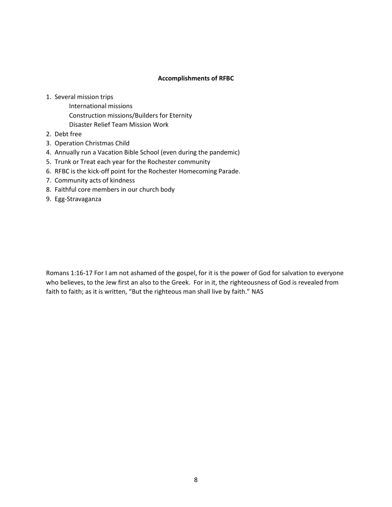#### **Accomplishments of RFBC**

- 1. Several mission trips
	- International missions Construction missions/Builders for Eternity
	- Disaster Relief Team Mission Work
- 2. Debt free
- 3. Operation Christmas Child
- 4. Annually run a Vacation Bible School (even during the pandemic)
- 5. Trunk or Treat each year for the Rochester community
- 6. RFBC is the kick-off point for the Rochester Homecoming Parade.
- 7. Community acts of kindness
- 8. Faithful core members in our church body
- 9. Egg-Stravaganza

Romans 1:16-17 For I am not ashamed of the gospel, for it is the power of God for salvation to everyone who believes, to the Jew first an also to the Greek. For in it, the righteousness of God is revealed from faith to faith; as it is written, "But the righteous man shall live by faith." NAS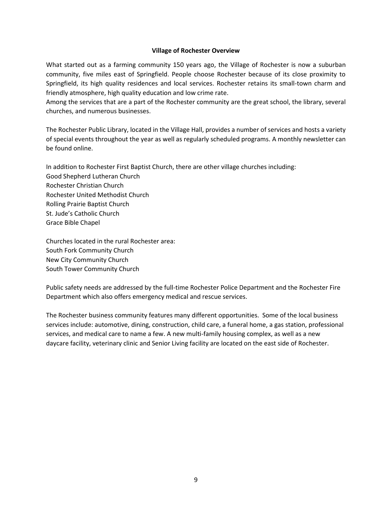#### **Village of Rochester Overview**

What started out as a farming community 150 years ago, the Village of Rochester is now a suburban community, five miles east of Springfield. People choose Rochester because of its close proximity to Springfield, its high quality residences and local services. Rochester retains its small-town charm and friendly atmosphere, high quality education and low crime rate.

Among the services that are a part of the Rochester community are the great school, the library, several churches, and numerous businesses.

The Rochester Public Library, located in the Village Hall, provides a number of services and hosts a variety of special events throughout the year as well as regularly scheduled programs. A monthly newsletter can be found online.

In addition to Rochester First Baptist Church, there are other village churches including: Good Shepherd Lutheran Church Rochester Christian Church Rochester United Methodist Church Rolling Prairie Baptist Church St. Jude's Catholic Church Grace Bible Chapel

Churches located in the rural Rochester area: South Fork Community Church New City Community Church South Tower Community Church

Public safety needs are addressed by the full-time Rochester Police Department and the Rochester Fire Department which also offers emergency medical and rescue services.

The Rochester business community features many different opportunities. Some of the local business services include: automotive, dining, construction, child care, a funeral home, a gas station, professional services, and medical care to name a few. A new multi-family housing complex, as well as a new daycare facility, veterinary clinic and Senior Living facility are located on the east side of Rochester.